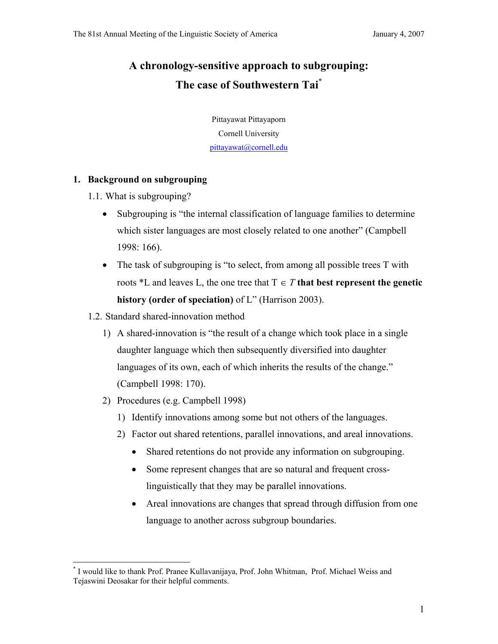# **A chronology-sensitive approach to subgrouping: The case of Southwestern Tai\***

Pittayawat Pittayaporn Cornell University pittayawat@cornell.edu

#### **1. Background on subgrouping**

- 1.1. What is subgrouping?
	- Subgrouping is "the internal classification of language families to determine which sister languages are most closely related to one another" (Campbell 1998: 166).
	- The task of subgrouping is "to select, from among all possible trees T with roots  $*L$  and leaves L, the one tree that  $T \in T$  that best represent the genetic **history (order of speciation)** of L" (Harrison 2003).
- 1.2. Standard shared-innovation method
	- 1) A shared-innovation is "the result of a change which took place in a single daughter language which then subsequently diversified into daughter languages of its own, each of which inherits the results of the change." (Campbell 1998: 170).
	- 2) Procedures (e.g. Campbell 1998)
		- 1) Identify innovations among some but not others of the languages.
		- 2) Factor out shared retentions, parallel innovations, and areal innovations.
			- Shared retentions do not provide any information on subgrouping.
			- Some represent changes that are so natural and frequent crosslinguistically that they may be parallel innovations.
			- Areal innovations are changes that spread through diffusion from one language to another across subgroup boundaries.

 $\overline{a}$ \* I would like to thank Prof. Pranee Kullavanijaya, Prof. John Whitman, Prof. Michael Weiss and Tejaswini Deosakar for their helpful comments.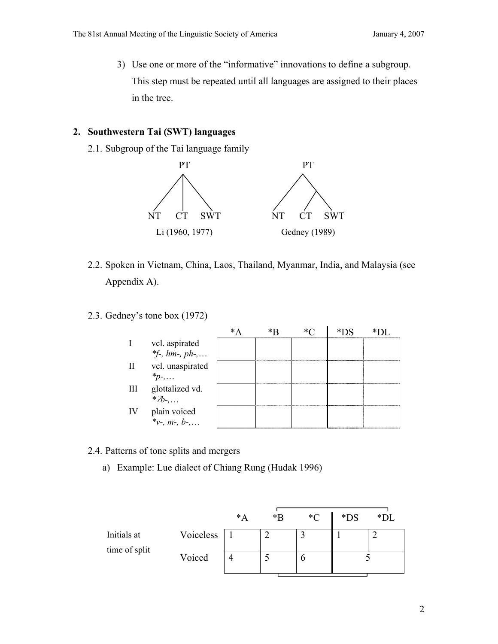3) Use one or more of the "informative" innovations to define a subgroup. This step must be repeated until all languages are assigned to their places in the tree.

#### **2. Southwestern Tai (SWT) languages**

2.1. Subgroup of the Tai language family



- 2.2. Spoken in Vietnam, China, Laos, Thailand, Myanmar, India, and Malaysia (see Appendix A).
- 2.3. Gedney's tone box (1972)

|     | vcl. aspirated                     |   |  |  |
|-----|------------------------------------|---|--|--|
|     | *f-, $hm$ -, $ph$ -,               |   |  |  |
| Π   | vcl. unaspirated                   |   |  |  |
|     | $*_p$ -,                           |   |  |  |
| Ш   | glottalized vd.                    | . |  |  |
|     | $*Zb$ -,                           |   |  |  |
| IV. |                                    |   |  |  |
|     | plain voiced<br>*v-, $m$ -, $b$ -, |   |  |  |

- 2.4. Patterns of tone splits and mergers
	- a) Example: Lue dialect of Chiang Rung (Hudak 1996)

|                              |           | $^*A$ | $*$ $\Gamma$ | $\mathcal{C}$ | $*DS$ | $*DI$ |
|------------------------------|-----------|-------|--------------|---------------|-------|-------|
| Initials at<br>time of split | Voiceless |       | ◠            |               |       |       |
|                              | Voiced    |       |              |               |       |       |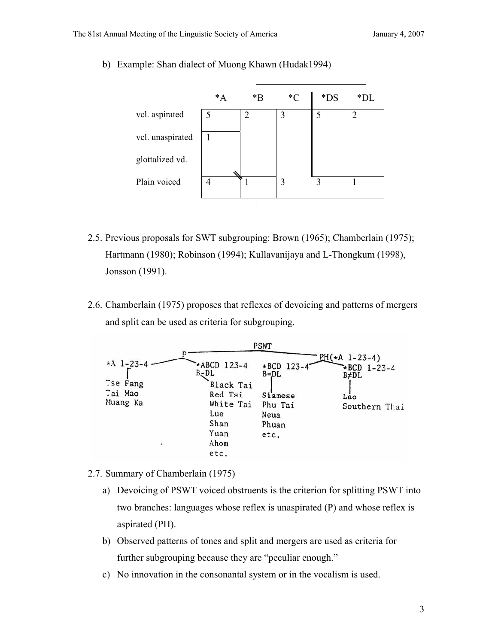- $*A$   $*B$   $*C$   $*DS$   $*DL$ vcl. aspirated  $\begin{array}{|c|c|c|c|c|c|} \hline 5 & 2 & 3 & 5 & 2 \ \hline \end{array}$ vcl. unaspirated  $\begin{array}{c|c} \hline \end{array}$  1 glottalized vd. Plain voiced  $\begin{vmatrix} 4 & 1 \\ 1 & 3 \end{vmatrix}$  1 3 1  $\mathbf{I}$ I
- b) Example: Shan dialect of Muong Khawn (Hudak1994)

- 2.5. Previous proposals for SWT subgrouping: Brown (1965); Chamberlain (1975); Hartmann (1980); Robinson (1994); Kullavanijaya and L-Thongkum (1998), Jonsson (1991).
- 2.6. Chamberlain (1975) proposes that reflexes of devoicing and patterns of mergers and split can be used as criteria for subgrouping.



- 2.7. Summary of Chamberlain (1975)
	- a) Devoicing of PSWT voiced obstruents is the criterion for splitting PSWT into two branches: languages whose reflex is unaspirated (P) and whose reflex is aspirated (PH).
	- b) Observed patterns of tones and split and mergers are used as criteria for further subgrouping because they are "peculiar enough."
	- c) No innovation in the consonantal system or in the vocalism is used.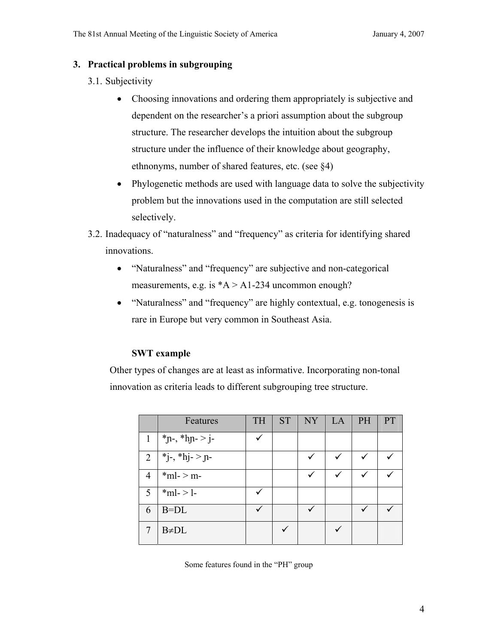#### **3. Practical problems in subgrouping**

- 3.1. Subjectivity
	- Choosing innovations and ordering them appropriately is subjective and dependent on the researcher's a priori assumption about the subgroup structure. The researcher develops the intuition about the subgroup structure under the influence of their knowledge about geography, ethnonyms, number of shared features, etc. (see §4)
	- Phylogenetic methods are used with language data to solve the subjectivity problem but the innovations used in the computation are still selected selectively.
- 3.2. Inadequacy of "naturalness" and "frequency" as criteria for identifying shared innovations.
	- "Naturalness" and "frequency" are subjective and non-categorical measurements, e.g. is  $*A > A1-234$  uncommon enough?
	- "Naturalness" and "frequency" are highly contextual, e.g. tonogenesis is rare in Europe but very common in Southeast Asia.

#### **SWT example**

Other types of changes are at least as informative. Incorporating non-tonal innovation as criteria leads to different subgrouping tree structure.

|                | Features                   | <b>TH</b>    | <b>ST</b> | NY      | LA           | PH | <b>PT</b> |
|----------------|----------------------------|--------------|-----------|---------|--------------|----|-----------|
| 1              | *n-, *hn- > j-             | $\checkmark$ |           |         |              |    |           |
| $\overline{2}$ | $*_{j^-,*}h_{j^-}>_{j}n$ - |              |           | $\cdot$ | $\checkmark$ | ✓  |           |
| 4              | $*$ ml- > m-               |              |           | ✓       | $\checkmark$ |    |           |
| 5              | $*ml$ ->1-                 | ✓            |           |         |              |    |           |
| 6              | $B=DL$                     | ✓            |           |         |              |    |           |
|                | $B \neq DL$                |              |           |         |              |    |           |

Some features found in the "PH" group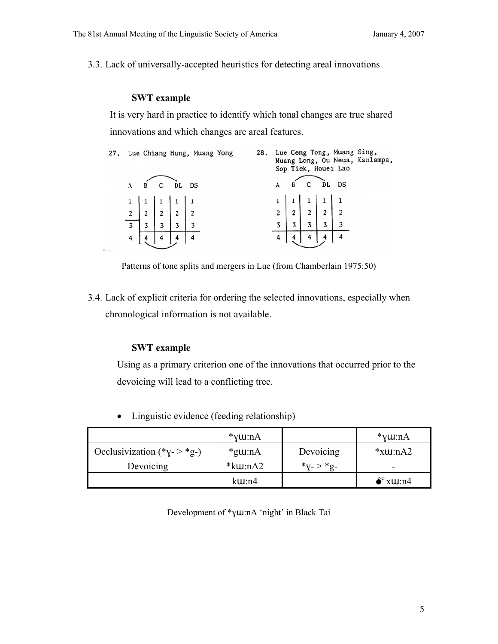3.3. Lack of universally-accepted heuristics for detecting areal innovations

#### **SWT example**

It is very hard in practice to identify which tonal changes are true shared innovations and which changes are areal features.

|        |                                                                                                                  |           | 27. Lue Chiang Hung, Muang Yong |  |  |                                                                                                                | Sop Tiek, Houei Lao | 28. Lue Ceng Tong, Muang Sing,<br>Muang Long, Ou Neua, Kanlampa, |
|--------|------------------------------------------------------------------------------------------------------------------|-----------|---------------------------------|--|--|----------------------------------------------------------------------------------------------------------------|---------------------|------------------------------------------------------------------|
|        |                                                                                                                  | B C DL DS |                                 |  |  | B C DL DS                                                                                                      |                     |                                                                  |
|        |                                                                                                                  |           |                                 |  |  |                                                                                                                |                     |                                                                  |
|        | $\begin{array}{c c c c c} 1 & 1 & 1 & 1 & 1 \\ \hline 2 & 2 & 2 & 2 & 2 \\ \hline 3 & 3 & 3 & 3 & 3 \end{array}$ |           |                                 |  |  | $\begin{array}{c c c c c c c} 1 & 1 & 1 & 1 & 1 \\ 2 & 2 & 2 & 2 & 2 & 2 \\ 3 & 3 & 3 & 3 & 3 & 3 \end{array}$ |                     |                                                                  |
|        |                                                                                                                  |           |                                 |  |  |                                                                                                                |                     |                                                                  |
|        |                                                                                                                  |           |                                 |  |  |                                                                                                                |                     |                                                                  |
| Pr. 1. |                                                                                                                  |           |                                 |  |  |                                                                                                                |                     |                                                                  |

Patterns of tone splits and mergers in Lue (from Chamberlain 1975:50)

3.4. Lack of explicit criteria for ordering the selected innovations, especially when chronological information is not available.

#### **SWT example**

Using as a primary criterion one of the innovations that occurred prior to the devoicing will lead to a conflicting tree.

• Linguistic evidence (feeding relationship)

|                              | $*$ v $u$ :nA       |                   | *y $u:nA$         |
|------------------------------|---------------------|-------------------|-------------------|
| Occlusivization $(*y->*_g-)$ | $*$ g $u:nA$        | Devoicing         | $*$ x $\mu$ :nA2  |
| Devoicing                    | $*$ k $\mu$ :nA2    | $*_{V^-}>*_{Q^-}$ | -                 |
|                              | $k$ <b>u</b> : $n4$ |                   | $\bullet^*$ xw:n4 |

Development of \*ɣɯ:nA 'night' in Black Tai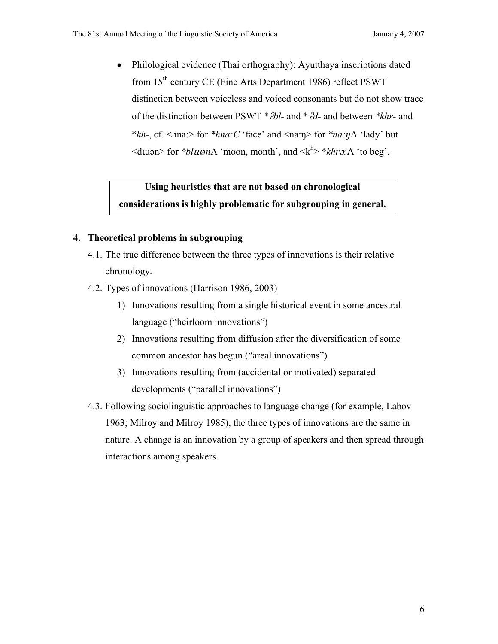• Philological evidence (Thai orthography): Ayutthaya inscriptions dated from 15<sup>th</sup> century CE (Fine Arts Department 1986) reflect PSWT distinction between voiceless and voiced consonants but do not show trace of the distinction between PSWT *\**ʔ*bl-* and \*ʔ*d-* and between *\*khr-* and \**kh-*, cf. <hna:> for *\*hna:C* 'face' and <na:ŋ> for *\*na:ŋ*A 'lady' but  $\leq$ dwan> for *\*blwan*A 'moon, month', and  $\leq k^h$ > *\*khro*:A 'to beg'.

### **Using heuristics that are not based on chronological considerations is highly problematic for subgrouping in general.**

#### **4. Theoretical problems in subgrouping**

- 4.1. The true difference between the three types of innovations is their relative chronology.
- 4.2. Types of innovations (Harrison 1986, 2003)
	- 1) Innovations resulting from a single historical event in some ancestral language ("heirloom innovations")
	- 2) Innovations resulting from diffusion after the diversification of some common ancestor has begun ("areal innovations")
	- 3) Innovations resulting from (accidental or motivated) separated developments ("parallel innovations")
- 4.3. Following sociolinguistic approaches to language change (for example, Labov 1963; Milroy and Milroy 1985), the three types of innovations are the same in nature. A change is an innovation by a group of speakers and then spread through interactions among speakers.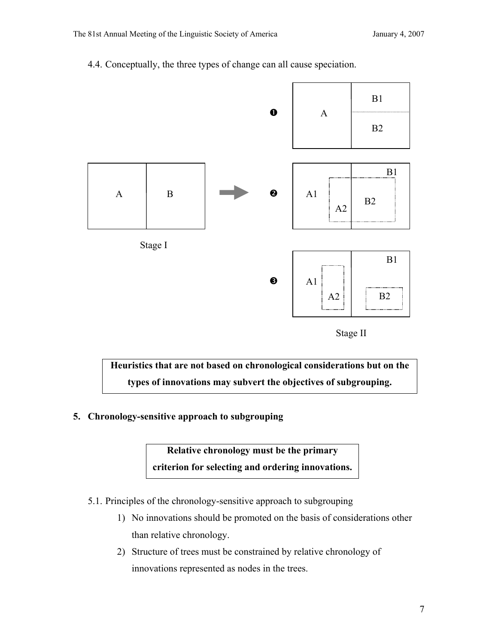4.4. Conceptually, the three types of change can all cause speciation.







**5. Chronology-sensitive approach to subgrouping** 

**Relative chronology must be the primary criterion for selecting and ordering innovations.** 

- 5.1. Principles of the chronology-sensitive approach to subgrouping
	- 1) No innovations should be promoted on the basis of considerations other than relative chronology.
	- 2) Structure of trees must be constrained by relative chronology of innovations represented as nodes in the trees.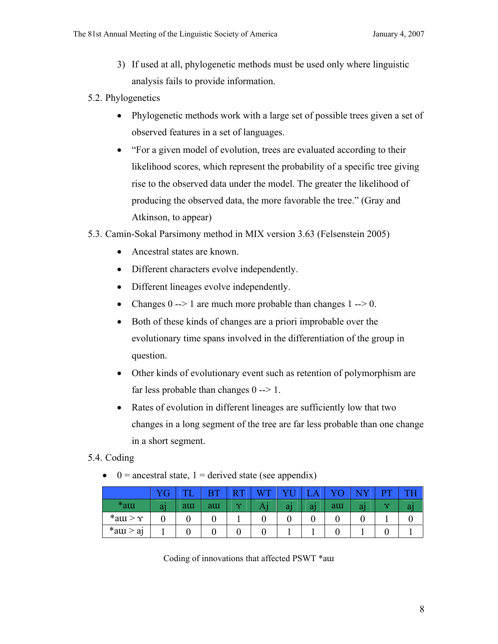- 3) If used at all, phylogenetic methods must be used only where linguistic analysis fails to provide information.
- 5.2. Phylogenetics
	- Phylogenetic methods work with a large set of possible trees given a set of observed features in a set of languages.
	- "For a given model of evolution, trees are evaluated according to their likelihood scores, which represent the probability of a specific tree giving rise to the observed data under the model. The greater the likelihood of producing the observed data, the more favorable the tree." (Gray and Atkinson, to appear)

#### 5.3. Camin-Sokal Parsimony method in MIX version 3.63 (Felsenstein 2005)

- Ancestral states are known.
- Different characters evolve independently.
- Different lineages evolve independently.
- Changes  $0 \rightarrow 1$  are much more probable than changes  $1 \rightarrow 0$ .
- Both of these kinds of changes are a priori improbable over the evolutionary time spans involved in the differentiation of the group in question.
- Other kinds of evolutionary event such as retention of polymorphism are far less probable than changes 0 --> 1.
- Rates of evolution in different lineages are sufficiently low that two changes in a long segment of the tree are far less probable than one change in a short segment.

#### 5.4. Coding

•  $0 =$  ancestral state, 1 = derived state (see appendix)

|                |                | $T^*$ | DT. | D        |  |    | nт     |  |
|----------------|----------------|-------|-----|----------|--|----|--------|--|
| $*$ am         | a <sub>l</sub> | au    | aur | $\infty$ |  | au | $\sim$ |  |
| *au > $\gamma$ |                |       |     |          |  |    |        |  |
| $*$ atu > aj   |                |       |     |          |  |    |        |  |

Coding of innovations that affected PSWT \*aɯ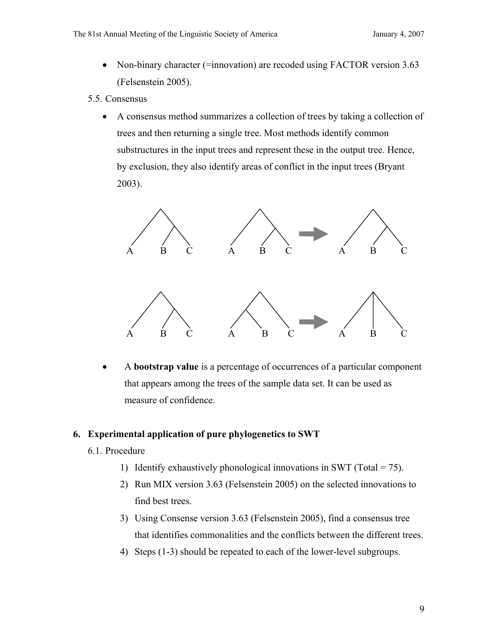- Non-binary character (=innovation) are recoded using FACTOR version 3.63 (Felsenstein 2005).
- 5.5. Consensus
	- A consensus method summarizes a collection of trees by taking a collection of trees and then returning a single tree. Most methods identify common substructures in the input trees and represent these in the output tree. Hence, by exclusion, they also identify areas of conflict in the input trees (Bryant 2003).



• A **bootstrap value** is a percentage of occurrences of a particular component that appears among the trees of the sample data set. It can be used as measure of confidence.

#### **6. Experimental application of pure phylogenetics to SWT**

- 6.1. Procedure
	- 1) Identify exhaustively phonological innovations in SWT (Total  $= 75$ ).
	- 2) Run MIX version 3.63 (Felsenstein 2005) on the selected innovations to find best trees.
	- 3) Using Consense version 3.63 (Felsenstein 2005), find a consensus tree that identifies commonalities and the conflicts between the different trees.
	- 4) Steps (1-3) should be repeated to each of the lower-level subgroups.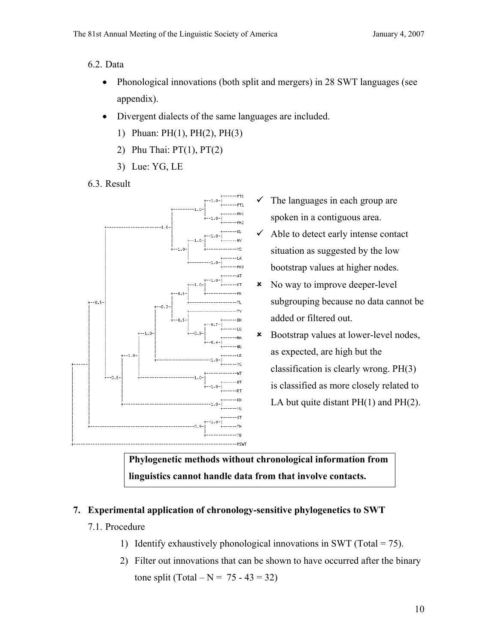- 6.2. Data
	- Phonological innovations (both split and mergers) in 28 SWT languages (see appendix).
	- Divergent dialects of the same languages are included.
		- 1) Phuan: PH(1), PH(2), PH(3)
		- 2) Phu Thai:  $PT(1)$ ,  $PT(2)$
		- 3) Lue: YG, LE
- 6.3. Result



- The languages in each group are spoken in a contiguous area.
- Able to detect early intense contact situation as suggested by the low bootstrap values at higher nodes.
- 8 No way to improve deeper-level subgrouping because no data cannot be added or filtered out.
- 8 Bootstrap values at lower-level nodes, as expected, are high but the classification is clearly wrong. PH(3) is classified as more closely related to LA but quite distant  $PH(1)$  and  $PH(2)$ .

**Phylogenetic methods without chronological information from linguistics cannot handle data from that involve contacts.** 

#### **7. Experimental application of chronology-sensitive phylogenetics to SWT**

- 7.1. Procedure
	- 1) Identify exhaustively phonological innovations in SWT (Total =  $75$ ).
	- 2) Filter out innovations that can be shown to have occurred after the binary tone split (Total –  $N = 75 - 43 = 32$ )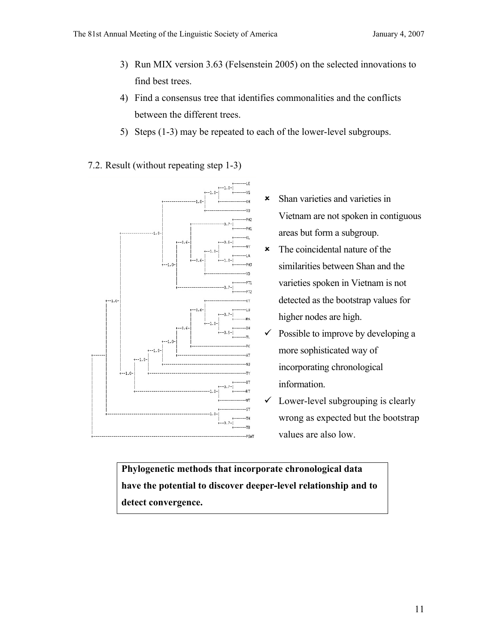- 3) Run MIX version 3.63 (Felsenstein 2005) on the selected innovations to find best trees.
- 4) Find a consensus tree that identifies commonalities and the conflicts between the different trees.
- 5) Steps (1-3) may be repeated to each of the lower-level subgroups.
- 7.2. Result (without repeating step 1-3)



- 8 Shan varieties and varieties in Vietnam are not spoken in contiguous areas but form a subgroup.
- $\star$  The coincidental nature of the similarities between Shan and the varieties spoken in Vietnam is not detected as the bootstrap values for higher nodes are high.
- Possible to improve by developing a more sophisticated way of incorporating chronological information.
- Lower-level subgrouping is clearly wrong as expected but the bootstrap values are also low.

**Phylogenetic methods that incorporate chronological data have the potential to discover deeper-level relationship and to detect convergence.**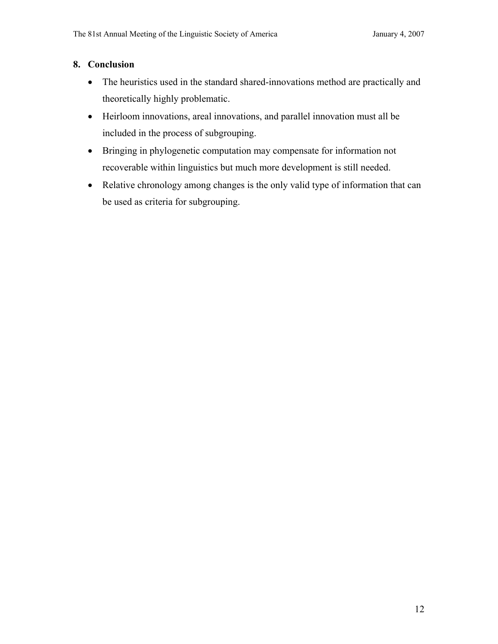#### **8. Conclusion**

- The heuristics used in the standard shared-innovations method are practically and theoretically highly problematic.
- Heirloom innovations, areal innovations, and parallel innovation must all be included in the process of subgrouping.
- Bringing in phylogenetic computation may compensate for information not recoverable within linguistics but much more development is still needed.
- Relative chronology among changes is the only valid type of information that can be used as criteria for subgrouping.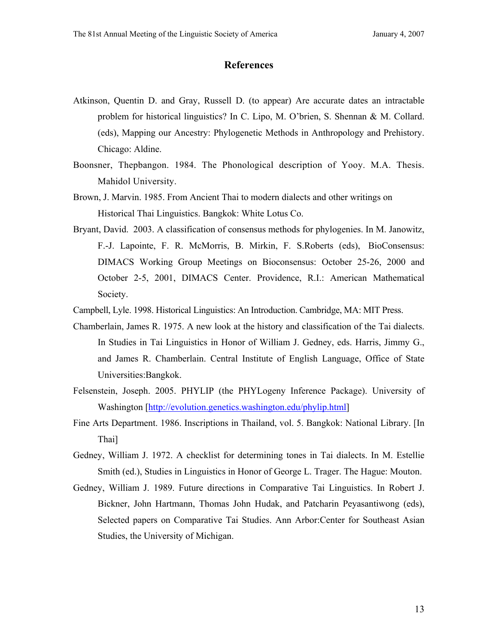#### **References**

- Atkinson, Quentin D. and Gray, Russell D. (to appear) Are accurate dates an intractable problem for historical linguistics? In C. Lipo, M. O'brien, S. Shennan & M. Collard. (eds), Mapping our Ancestry: Phylogenetic Methods in Anthropology and Prehistory. Chicago: Aldine.
- Boonsner, Thepbangon. 1984. The Phonological description of Yooy. M.A. Thesis. Mahidol University.
- Brown, J. Marvin. 1985. From Ancient Thai to modern dialects and other writings on Historical Thai Linguistics. Bangkok: White Lotus Co.
- Bryant, David. 2003. A classification of consensus methods for phylogenies. In M. Janowitz, F.-J. Lapointe, F. R. McMorris, B. Mirkin, F. S.Roberts (eds), BioConsensus: DIMACS Working Group Meetings on Bioconsensus: October 25-26, 2000 and October 2-5, 2001, DIMACS Center. Providence, R.I.: American Mathematical Society.
- Campbell, Lyle. 1998. Historical Linguistics: An Introduction. Cambridge, MA: MIT Press.
- Chamberlain, James R. 1975. A new look at the history and classification of the Tai dialects. In Studies in Tai Linguistics in Honor of William J. Gedney, eds. Harris, Jimmy G., and James R. Chamberlain. Central Institute of English Language, Office of State Universities:Bangkok.
- Felsenstein, Joseph. 2005. PHYLIP (the PHYLogeny Inference Package). University of Washington [http://evolution.genetics.washington.edu/phylip.html]
- Fine Arts Department. 1986. Inscriptions in Thailand, vol. 5. Bangkok: National Library. [In Thai]
- Gedney, William J. 1972. A checklist for determining tones in Tai dialects. In M. Estellie Smith (ed.), Studies in Linguistics in Honor of George L. Trager. The Hague: Mouton.
- Gedney, William J. 1989. Future directions in Comparative Tai Linguistics. In Robert J. Bickner, John Hartmann, Thomas John Hudak, and Patcharin Peyasantiwong (eds), Selected papers on Comparative Tai Studies. Ann Arbor:Center for Southeast Asian Studies, the University of Michigan.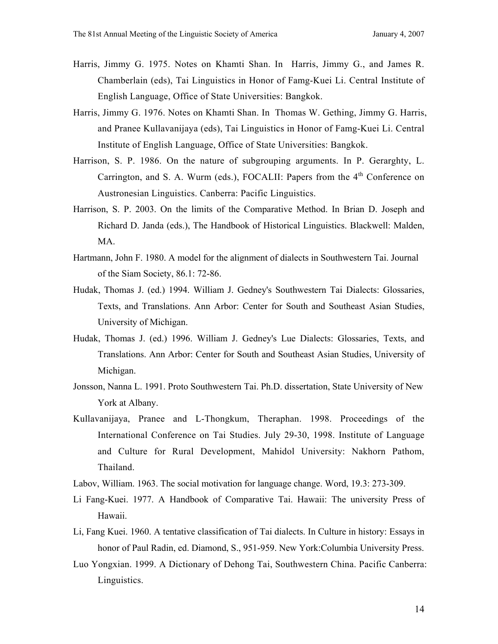- Harris, Jimmy G. 1975. Notes on Khamti Shan. In Harris, Jimmy G., and James R. Chamberlain (eds), Tai Linguistics in Honor of Famg-Kuei Li. Central Institute of English Language, Office of State Universities: Bangkok.
- Harris, Jimmy G. 1976. Notes on Khamti Shan. In Thomas W. Gething, Jimmy G. Harris, and Pranee Kullavanijaya (eds), Tai Linguistics in Honor of Famg-Kuei Li. Central Institute of English Language, Office of State Universities: Bangkok.
- Harrison, S. P. 1986. On the nature of subgrouping arguments. In P. Gerarghty, L. Carrington, and S. A. Wurm (eds.), FOCALII: Papers from the 4<sup>th</sup> Conference on Austronesian Linguistics. Canberra: Pacific Linguistics.
- Harrison, S. P. 2003. On the limits of the Comparative Method. In Brian D. Joseph and Richard D. Janda (eds.), The Handbook of Historical Linguistics. Blackwell: Malden, MA.
- Hartmann, John F. 1980. A model for the alignment of dialects in Southwestern Tai. Journal of the Siam Society, 86.1: 72-86.
- Hudak, Thomas J. (ed.) 1994. William J. Gedney's Southwestern Tai Dialects: Glossaries, Texts, and Translations. Ann Arbor: Center for South and Southeast Asian Studies, University of Michigan.
- Hudak, Thomas J. (ed.) 1996. William J. Gedney's Lue Dialects: Glossaries, Texts, and Translations. Ann Arbor: Center for South and Southeast Asian Studies, University of Michigan.
- Jonsson, Nanna L. 1991. Proto Southwestern Tai. Ph.D. dissertation, State University of New York at Albany.
- Kullavanijaya, Pranee and L-Thongkum, Theraphan. 1998. Proceedings of the International Conference on Tai Studies. July 29-30, 1998. Institute of Language and Culture for Rural Development, Mahidol University: Nakhorn Pathom, Thailand.
- Labov, William. 1963. The social motivation for language change. Word, 19.3: 273-309.
- Li Fang-Kuei. 1977. A Handbook of Comparative Tai. Hawaii: The university Press of Hawaii.
- Li, Fang Kuei. 1960. A tentative classification of Tai dialects. In Culture in history: Essays in honor of Paul Radin, ed. Diamond, S., 951-959. New York:Columbia University Press.
- Luo Yongxian. 1999. A Dictionary of Dehong Tai, Southwestern China. Pacific Canberra: Linguistics.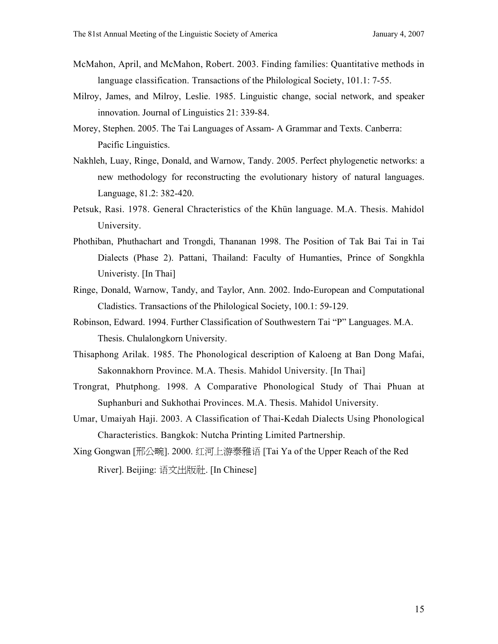- McMahon, April, and McMahon, Robert. 2003. Finding families: Quantitative methods in language classification. Transactions of the Philological Society, 101.1: 7-55.
- Milroy, James, and Milroy, Leslie. 1985. Linguistic change, social network, and speaker innovation. Journal of Linguistics 21: 339-84.
- Morey, Stephen. 2005. The Tai Languages of Assam- A Grammar and Texts. Canberra: Pacific Linguistics.
- Nakhleh, Luay, Ringe, Donald, and Warnow, Tandy. 2005. Perfect phylogenetic networks: a new methodology for reconstructing the evolutionary history of natural languages. Language, 81.2: 382-420.
- Petsuk, Rasi. 1978. General Chracteristics of the Khün language. M.A. Thesis. Mahidol University.
- Phothiban, Phuthachart and Trongdi, Thananan 1998. The Position of Tak Bai Tai in Tai Dialects (Phase 2). Pattani, Thailand: Faculty of Humanties, Prince of Songkhla Univeristy. [In Thai]
- Ringe, Donald, Warnow, Tandy, and Taylor, Ann. 2002. Indo-European and Computational Cladistics. Transactions of the Philological Society, 100.1: 59-129.
- Robinson, Edward. 1994. Further Classification of Southwestern Tai "P" Languages. M.A. Thesis. Chulalongkorn University.
- Thisaphong Arilak. 1985. The Phonological description of Kaloeng at Ban Dong Mafai, Sakonnakhorn Province. M.A. Thesis. Mahidol University. [In Thai]
- Trongrat, Phutphong. 1998. A Comparative Phonological Study of Thai Phuan at Suphanburi and Sukhothai Provinces. M.A. Thesis. Mahidol University.
- Umar, Umaiyah Haji. 2003. A Classification of Thai-Kedah Dialects Using Phonological Characteristics. Bangkok: Nutcha Printing Limited Partnership.
- Xing Gongwan [邢公畹]. 2000. 红河上游泰雅语 [Tai Ya of the Upper Reach of the Red River]. Beijing: 语文出版社. [In Chinese]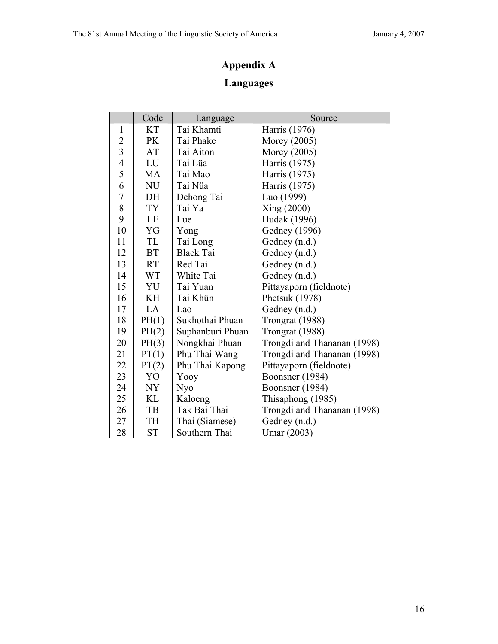# **Appendix A**

# **Languages**

|                | Code      | Language         | Source                      |
|----------------|-----------|------------------|-----------------------------|
| $\mathbf{1}$   | <b>KT</b> | Tai Khamti       | Harris (1976)               |
| $\overline{2}$ | PK        | Tai Phake        | Morey (2005)                |
| 3              | AT        | Tai Aiton        | Morey (2005)                |
| $\overline{4}$ | LU        | Tai Lüa          | Harris (1975)               |
| 5              | MA        | Tai Mao          | Harris (1975)               |
| 6              | <b>NU</b> | Tai Nüa          | Harris (1975)               |
| 7              | DH        | Dehong Tai       | Luo (1999)                  |
| 8              | TY        | Tai Ya           | Xing (2000)                 |
| 9              | LE        | Lue              | Hudak (1996)                |
| 10             | YG        | Yong             | Gedney (1996)               |
| 11             | TL        | Tai Long         | Gedney (n.d.)               |
| 12             | <b>BT</b> | <b>Black Tai</b> | Gedney (n.d.)               |
| 13             | <b>RT</b> | Red Tai          | Gedney (n.d.)               |
| 14             | <b>WT</b> | White Tai        | Gedney (n.d.)               |
| 15             | YU        | Tai Yuan         | Pittayaporn (fieldnote)     |
| 16             | KH        | Tai Khün         | Phetsuk (1978)              |
| 17             | LA        | Lao              | Gedney (n.d.)               |
| 18             | PH(1)     | Sukhothai Phuan  | Trongrat (1988)             |
| 19             | PH(2)     | Suphanburi Phuan | Trongrat (1988)             |
| 20             | PH(3)     | Nongkhai Phuan   | Trongdi and Thananan (1998) |
| 21             | PT(1)     | Phu Thai Wang    | Trongdi and Thananan (1998) |
| 22             | PT(2)     | Phu Thai Kapong  | Pittayaporn (fieldnote)     |
| 23             | YO        | Yooy             | Boonsner (1984)             |
| 24             | NY        | <b>Nyo</b>       | Boonsner (1984)             |
| 25             | KL        | Kaloeng          | Thisaphong (1985)           |
| 26             | TB        | Tak Bai Thai     | Trongdi and Thananan (1998) |
| 27             | TH        | Thai (Siamese)   | Gedney (n.d.)               |
| 28             | <b>ST</b> | Southern Thai    | Umar (2003)                 |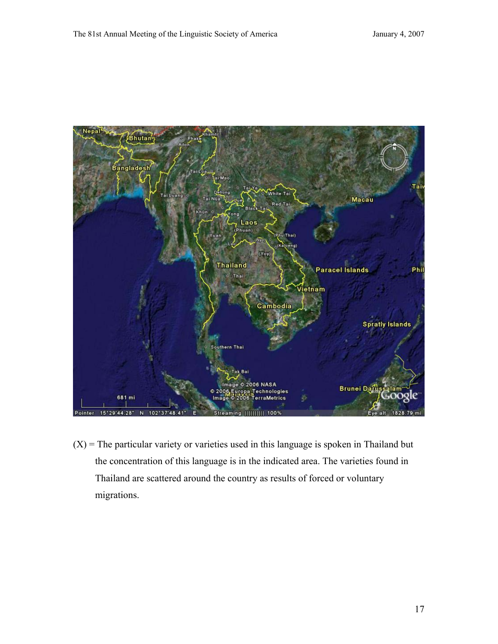

 $(X)$  = The particular variety or varieties used in this language is spoken in Thailand but the concentration of this language is in the indicated area. The varieties found in Thailand are scattered around the country as results of forced or voluntary migrations.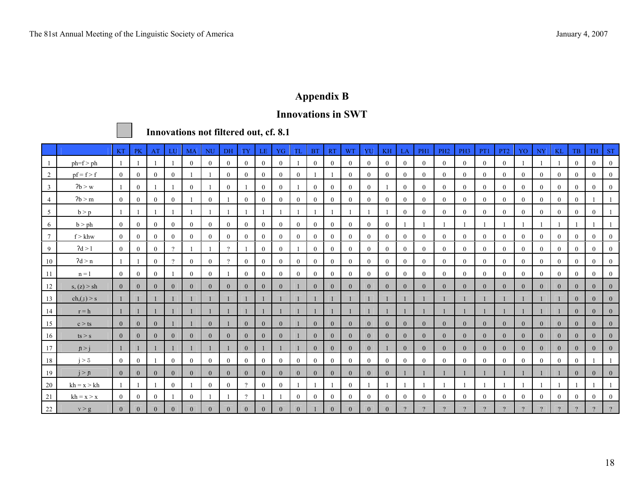# **Appendix B**

#### **Innovations in SWT**



 **Innovations not filtered out, cf. 8.1** 

|                |                   | <b>KT</b>      | PK             | AT             | LU             | <b>MA</b>      | NU             | DH             | TY             | LE.            | YG             | TL             | <b>BT</b>        | <b>RT</b>    | <b>WT</b>      | YU               | KH             | LA             | PH1            | PH <sub>2</sub> | PH <sub>3</sub> | PT1            | PT <sub>2</sub> | YO             | NY             | <b>KL</b>      | TB.            | <b>TH</b>      | <b>ST</b>      |
|----------------|-------------------|----------------|----------------|----------------|----------------|----------------|----------------|----------------|----------------|----------------|----------------|----------------|------------------|--------------|----------------|------------------|----------------|----------------|----------------|-----------------|-----------------|----------------|-----------------|----------------|----------------|----------------|----------------|----------------|----------------|
|                | $ph=f$ > $ph$     |                |                |                |                | $\theta$       | $\theta$       | $\overline{0}$ | $\bf{0}$       | $\overline{0}$ | $\mathbf{0}$   |                | $\overline{0}$   | $\theta$     | $\theta$       | $\overline{0}$   | $\overline{0}$ | $\overline{0}$ | $\overline{0}$ | $\theta$        | $\theta$        | $\theta$       | $\theta$        |                |                |                | $\theta$       | $\theta$       | $\bf{0}$       |
| $\overline{2}$ | $pf = f > f$      | $\overline{0}$ | $\overline{0}$ | $\overline{0}$ | $\overline{0}$ |                |                | $\overline{0}$ | $\overline{0}$ | $\overline{0}$ | $\overline{0}$ | $\overline{0}$ |                  |              | $\mathbf{0}$   | $\mathbf{0}$     | $\overline{0}$ | $\bf{0}$       | $\mathbf{0}$   | $\overline{0}$  | $\overline{0}$  | $\overline{0}$ | $\mathbf{0}$    | $\overline{0}$ | $\mathbf{0}$   | $\bf{0}$       | $\overline{0}$ | $\overline{0}$ | $\bf{0}$       |
| $\mathbf{3}$   | 7b > w            | $\mathbf{1}$   | $\overline{0}$ |                |                | $\overline{0}$ |                | $\theta$       |                | $\overline{0}$ | $\mathbf{0}$   |                | $\mathbf{0}$     | $\theta$     | $\theta$       | $\mathbf{0}$     |                | $\overline{0}$ | $\overline{0}$ | $\overline{0}$  | $\theta$        | $\overline{0}$ | $\theta$        | $\theta$       | $\mathbf{0}$   | $\mathbf{0}$   | $\overline{0}$ | $\mathbf{0}$   | $\bf{0}$       |
| $\overline{4}$ | 7b > m            | $\theta$       | $\theta$       | $\theta$       | $\theta$       |                | $\theta$       |                | $\overline{0}$ | $\theta$       | $\theta$       | $\theta$       | $\theta$         | $\theta$     | $\theta$       | $\theta$         | $\theta$       | $\theta$       | $\theta$       | $\theta$        | $\theta$        | $\theta$       | $\theta$        | $\theta$       | $\mathbf{0}$   | $\Omega$       | $\theta$       |                |                |
| 5              | b > p             | -1             |                |                |                |                |                |                |                |                |                |                |                  |              |                | -1               |                | $\theta$       | $\theta$       | $\theta$        | $\theta$        | $\theta$       | $\theta$        | $\theta$       | $\mathbf{0}$   | $\theta$       | $\theta$       | $\Omega$       |                |
| 6              | b > ph            | $\mathbf{0}$   | $\overline{0}$ | $\theta$       | $\overline{0}$ | $\mathbf{0}$   | $\theta$       | $\overline{0}$ | $\bf{0}$       | $\overline{0}$ | $\mathbf{0}$   | $\overline{0}$ | $\overline{0}$   | $\theta$     | $\theta$       | $\theta$         | $\mathbf{0}$   |                |                |                 |                 |                |                 |                |                |                |                |                |                |
| 7              | $f > k$ hw        | $\theta$       | $\theta$       | $\theta$       | $\Omega$       | $\theta$       | $\theta$       | $\overline{0}$ | $\overline{0}$ | $\overline{0}$ | $\mathbf{0}$   | $\overline{0}$ | $\overline{0}$   | $\Omega$     | $\theta$       | $\mathbf{0}$     | $\theta$       | $\mathbf{0}$   | $\overline{0}$ | $\theta$        | $\theta$        | $\overline{0}$ | $\theta$        | $\mathbf{0}$   | $\mathbf{0}$   | $\Omega$       | $\overline{0}$ | $\theta$       | $\Omega$       |
| 9              | 2d > 1            | $\overline{0}$ | $\theta$       | $\theta$       | $\gamma$       |                |                | $\gamma$       |                | $\overline{0}$ | $\mathbf{0}$   |                | $\overline{0}$   | $\bf{0}$     | $\theta$       | $\overline{0}$   | $\overline{0}$ | $\mathbf{0}$   | $\overline{0}$ | $\overline{0}$  | $\overline{0}$  | $\overline{0}$ | $\theta$        | $\overline{0}$ | $\overline{0}$ | $\theta$       | $\overline{0}$ | $\overline{0}$ | $\theta$       |
| 10             | 2d > n            |                |                | $\overline{0}$ | $\mathcal{D}$  | $\overline{0}$ | $\overline{0}$ | $\gamma$       | $\overline{0}$ | $\overline{0}$ | $\overline{0}$ | $\overline{0}$ | $\boldsymbol{0}$ | $\mathbf{0}$ | $\theta$       | $\boldsymbol{0}$ | $\overline{0}$ | $\overline{0}$ | $\mathbf{0}$   | $\overline{0}$  | $\theta$        | $\overline{0}$ | $\overline{0}$  | $\overline{0}$ | $\mathbf{0}$   | $\overline{0}$ | $\theta$       | $\mathbf{0}$   | $\Omega$       |
| 11             | $n = 1$           | $\overline{0}$ | $\overline{0}$ | $\overline{0}$ |                | $\overline{0}$ | $\overline{0}$ |                | $\overline{0}$ | $\overline{0}$ | $\mathbf{0}$   | $\overline{0}$ | $\mathbf{0}$     | $\mathbf{0}$ | $\theta$       | $\mathbf{0}$     | $\theta$       | $\mathbf{0}$   | $\overline{0}$ | $\overline{0}$  | $\theta$        | $\overline{0}$ | $\overline{0}$  | $\overline{0}$ | $\overline{0}$ | $\overline{0}$ | $\mathbf{0}$   | $\overline{0}$ | $\overline{0}$ |
| 12             | s, (z) > sh       | $\overline{0}$ | $\mathbf{0}$   | $\theta$       | $\overline{0}$ | $\theta$       | $\Omega$       | $\theta$       | $\overline{0}$ | $\theta$       | $\overline{0}$ |                | $\mathbf{0}$     | $\theta$     | $\theta$       | $\mathbf{0}$     | $\theta$       | $\theta$       | $\theta$       | $\theta$        | $\Omega$        | $\theta$       | $\theta$        | $\theta$       | $\mathbf{0}$   | $\theta$       | $\theta$       | $\overline{0}$ | $\Omega$       |
| 13             | $ch_{n}(\pm) > s$ |                |                |                |                |                |                |                |                |                |                |                |                  |              |                |                  |                |                |                |                 |                 |                |                 |                |                |                | $\theta$       | $\theta$       | $\left($       |
| 14             | $r = h$           |                |                |                |                |                |                |                |                |                |                |                |                  |              |                |                  |                |                |                |                 |                 |                |                 |                |                |                | $\overline{0}$ | $\overline{0}$ | $\mathbf{0}$   |
| 15             | c > ts            | $\overline{0}$ | $\overline{0}$ | $\mathbf{0}$   |                |                | $\overline{0}$ |                | $\overline{0}$ | $\overline{0}$ | $\overline{0}$ |                | $\mathbf{0}$     | $\mathbf{0}$ | $\overline{0}$ | $\mathbf{0}$     | $\overline{0}$ | $\overline{0}$ | $\overline{0}$ | $\overline{0}$  | $\mathbf{0}$    | $\overline{0}$ | $\overline{0}$  | $\mathbf{0}$   | $\overline{0}$ | $\mathbf{0}$   | $\mathbf{0}$   | $\overline{0}$ | $\bf{0}$       |
| 16             | ts > s            | $\theta$       | $\Omega$       | $\theta$       | $\theta$       | $\theta$       | $\Omega$       | $\theta$       | $\overline{0}$ | $\overline{0}$ | $\overline{0}$ |                | $\mathbf{0}$     | $\theta$     | $\Omega$       | $\theta$         | $\Omega$       | $\theta$       | $\theta$       | $\theta$        | $\theta$        | $\theta$       | $\theta$        | $\mathbf{0}$   | $\overline{0}$ | $\theta$       | $\theta$       | $\mathbf{0}$   | $\Omega$       |
| 17             | n > i             | $\mathbf{1}$   |                |                |                |                |                |                | $\overline{0}$ |                |                |                | $\overline{0}$   | $\theta$     | $\overline{0}$ | $\overline{0}$   |                | $\overline{0}$ | $\theta$       | $\overline{0}$  | $\theta$        | $\overline{0}$ | $\theta$        | $\overline{0}$ | $\overline{0}$ | $\Omega$       | $\overline{0}$ | $\mathbf{0}$   |                |
| 18             | i > 3             | $\mathbf{0}$   | $\theta$       |                | $\theta$       | $\theta$       | $\Omega$       | $\overline{0}$ | $\Omega$       | $\mathbf{0}$   | $\mathbf{0}$   | $\overline{0}$ | $\mathbf{0}$     | $\theta$     | $\theta$       | $\theta$         | $\theta$       | $\Omega$       | $\theta$       | $\theta$        | $\theta$        | $\theta$       | $\theta$        | $\theta$       | $\theta$       | $\theta$       | $\theta$       |                |                |
| 19             | j > n             | $\overline{0}$ | $\mathbf{0}$   | $\theta$       | $\overline{0}$ | $\mathbf{0}$   | $\Omega$       | $\overline{0}$ | $\mathbf{0}$   | $\overline{0}$ | $\overline{0}$ | $\overline{0}$ | $\mathbf{0}$     | $\mathbf{0}$ | $\overline{0}$ | $\mathbf{0}$     | $\mathbf{0}$   |                |                |                 |                 |                |                 |                |                |                | $\theta$       | $\mathbf{0}$   | $\left($       |
| 20             | $kh = x > kh$     | -1             |                |                | $\overline{0}$ |                | $\Omega$       | $\overline{0}$ | $\Omega$       | $\overline{0}$ | $\overline{0}$ |                |                  |              | $\mathbf{0}$   |                  |                |                |                |                 |                 |                |                 |                |                |                |                |                |                |
| 21             | $kh = x > x$      | $\mathbf{0}$   | $\overline{0}$ | $\theta$       |                | $\mathbf{0}$   |                |                | $\gamma$       |                |                | $\overline{0}$ | $\mathbf{0}$     | $\theta$     | $\theta$       | $\mathbf{0}$     | $\theta$       | $\overline{0}$ | $\theta$       | $\theta$        | $\theta$        | $\overline{0}$ | $\theta$        | $\theta$       | $\mathbf{0}$   | $\theta$       | $\theta$       | $\overline{0}$ | $\Omega$       |
| 22             | y > g             | $\overline{0}$ | $\mathbf{0}$   | $\Omega$       | $\overline{0}$ | $\mathbf{0}$   |                | $\mathbf{0}$   | $\mathbf{0}$   | $\Omega$       | $\theta$       | $\mathbf{0}$   |                  | $\Omega$     | $\overline{0}$ | $\mathbf{0}$     | $\Omega$       |                |                |                 |                 |                |                 |                |                |                |                |                |                |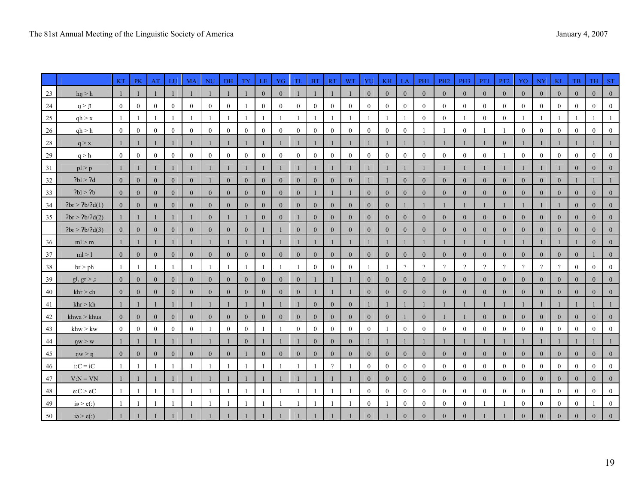|    |                     | $\mathbf{KT}$  | PK               | AT               | LU             | $\mathbf{M}\mathbf{A}$ | <b>NU</b>      | DH               | <b>TY</b>        | LE               | YG               | TL             | <b>BT</b>        | RT             | <b>WT</b>      | YU               | $\mathbf{KH}$    | LA               | PH1            | PH <sub>2</sub> | PH <sub>3</sub>  | PT1            | PT <sub>2</sub> | YO             | <b>NY</b>        | <b>KL</b>        | <b>TB</b>      | TH             | <b>ST</b>    |
|----|---------------------|----------------|------------------|------------------|----------------|------------------------|----------------|------------------|------------------|------------------|------------------|----------------|------------------|----------------|----------------|------------------|------------------|------------------|----------------|-----------------|------------------|----------------|-----------------|----------------|------------------|------------------|----------------|----------------|--------------|
| 23 | hn > h              | -1             |                  |                  |                |                        |                |                  |                  | $\mathbf{0}$     | $\mathbf{0}$     |                |                  |                |                | $\mathbf{0}$     | $\mathbf{0}$     | $\mathbf{0}$     | $\overline{0}$ | $\mathbf{0}$    | $\mathbf{0}$     | $\overline{0}$ | $\mathbf{0}$    | $\mathbf{0}$   | $\overline{0}$   | $\mathbf{0}$     | $\overline{0}$ | $\overline{0}$ |              |
| 24 | $\eta > \eta$       | $\overline{0}$ | $\overline{0}$   | $\bf{0}$         | $\overline{0}$ | $\overline{0}$         | $\overline{0}$ | $\mathbf{0}$     |                  | $\overline{0}$   | $\overline{0}$   | $\overline{0}$ | $\overline{0}$   | $\overline{0}$ | $\left($       | $\overline{0}$   | $\bf{0}$         | $\overline{0}$   | $\mathbf{0}$   | $\overline{0}$  | $\boldsymbol{0}$ | $\overline{0}$ | $\overline{0}$  | $\overline{0}$ | $\theta$         | $\mathbf{0}$     | $\overline{0}$ | $\overline{0}$ |              |
| 25 | qh > x              |                |                  |                  |                |                        |                |                  |                  |                  |                  |                |                  |                |                |                  |                  |                  | $\mathbf{0}$   | $\overline{0}$  |                  | $\mathbf{0}$   | $\mathbf{0}$    |                |                  |                  |                |                |              |
| 26 | qh > h              | $\overline{0}$ | $\boldsymbol{0}$ | $\boldsymbol{0}$ | $\overline{0}$ | $\mathbf{0}$           | $\bf{0}$       | $\boldsymbol{0}$ | $\boldsymbol{0}$ | $\boldsymbol{0}$ | $\boldsymbol{0}$ | $\mathbf{0}$   | $\boldsymbol{0}$ | $\overline{0}$ | $\bf{0}$       | $\overline{0}$   | $\boldsymbol{0}$ | $\boldsymbol{0}$ |                |                 | $\boldsymbol{0}$ | -1             |                 | $\overline{0}$ | $\boldsymbol{0}$ | $\boldsymbol{0}$ | $\overline{0}$ | $\overline{0}$ | $\mathbf{0}$ |
| 28 | q > x               | $\mathbf{1}$   | -1               |                  |                |                        |                |                  |                  |                  |                  | $\mathbf{1}$   |                  |                |                | $\mathbf{1}$     |                  |                  |                |                 |                  | $\mathbf{1}$   | $\overline{0}$  | 1              |                  |                  |                |                |              |
| 29 | q > h               | $\overline{0}$ | $\bf{0}$         | $\bf{0}$         | $\overline{0}$ | $\mathbf{0}$           | $\mathbf{0}$   | $\bf{0}$         | $\mathbf{0}$     | $\mathbf{0}$     | $\bf{0}$         | $\bf{0}$       | $\bf{0}$         | $\mathbf{0}$   | $\bf{0}$       | $\overline{0}$   | $\bf{0}$         | $\bf{0}$         | $\bf{0}$       | $\overline{0}$  | $\bf{0}$         | $\bf{0}$       |                 | $\bf{0}$       | $\bf{0}$         | $\mathbf{0}$     | $\bf{0}$       | $\theta$       |              |
| 31 | pl > p              | -1             | -1               |                  |                |                        |                |                  |                  |                  |                  | -1             |                  |                |                |                  |                  |                  |                |                 |                  | 1              |                 |                |                  |                  | $\overline{0}$ | $\mathbf{0}$   |              |
| 32 | Pbl > 2d            | $\overline{0}$ | $\overline{0}$   | $\mathbf{0}$     | $\overline{0}$ | $\theta$               |                | $\overline{0}$   | $\mathbf{0}$     | $\mathbf{0}$     | $\mathbf{0}$     | $\overline{0}$ | $\mathbf{0}$     | $\overline{0}$ | $\theta$       |                  |                  | $\overline{0}$   | $\overline{0}$ | $\mathbf{0}$    | $\mathbf{0}$     | $\overline{0}$ | $\overline{0}$  | $\mathbf{0}$   | $\overline{0}$   | $\overline{0}$   |                |                |              |
| 33 | Pbl > Pb            | $\overline{0}$ | $\overline{0}$   | $\mathbf{0}$     | $\mathbf{0}$   | $\overline{0}$         | $\theta$       | $\mathbf{0}$     | $\overline{0}$   | $\boldsymbol{0}$ | $\mathbf{0}$     | $\mathbf{0}$   |                  |                |                | $\mathbf{0}$     | $\overline{0}$   | $\overline{0}$   | $\overline{0}$ | $\mathbf{0}$    | $\mathbf{0}$     | $\overline{0}$ | $\mathbf{0}$    | $\mathbf{0}$   | $\theta$         | $\mathbf{0}$     | $\mathbf{0}$   | $\overline{0}$ |              |
| 34 | Pbr > 2b/2d(1)      | $\overline{0}$ | $\overline{0}$   | $\mathbf{0}$     | $\overline{0}$ | $\mathbf{0}$           | $\mathbf{0}$   | $\mathbf{0}$     | $\overline{0}$   | $\mathbf{0}$     | $\mathbf{0}$     | $\overline{0}$ | $\mathbf{0}$     | $\mathbf{0}$   | $\overline{0}$ | $\mathbf{0}$     | $\mathbf{0}$     | 1                |                |                 |                  | 1              |                 | 1              |                  |                  | $\mathbf{0}$   | $\overline{0}$ |              |
| 35 | Pbr > 2b/2d(2)      | 1              | -1               |                  |                |                        | $\mathbf{0}$   |                  | $\mathbf{1}$     | $\mathbf{0}$     | $\mathbf{0}$     | -1             | $\mathbf{0}$     | $\mathbf{0}$   | $\overline{0}$ | $\mathbf{0}$     | $\overline{0}$   | $\mathbf{0}$     | $\mathbf{0}$   | $\mathbf{0}$    | $\mathbf{0}$     | $\overline{0}$ | $\overline{0}$  | $\mathbf{0}$   | $\mathbf{0}$     | $\mathbf{0}$     | $\mathbf{0}$   | $\overline{0}$ |              |
|    | 2br > 2b/2d(3)      | $\overline{0}$ | $\mathbf{0}$     | $\mathbf{0}$     | $\mathbf{0}$   | $\mathbf{0}$           | $\theta$       | $\mathbf{0}$     | $\mathbf{0}$     |                  |                  | $\mathbf{0}$   | $\mathbf{0}$     | $\bf{0}$       | $\mathbf{0}$   | $\mathbf{0}$     | $\mathbf{0}$     | $\mathbf{0}$     | $\mathbf{0}$   | $\mathbf{0}$    | $\mathbf{0}$     | $\overline{0}$ | $\mathbf{0}$    | $\mathbf{0}$   | $\boldsymbol{0}$ | $\mathbf{0}$     | $\overline{0}$ | $\overline{0}$ |              |
| 36 | ml > m              | $\mathbf{1}$   | $\mathbf{1}$     |                  |                | 1                      |                |                  | $\mathbf{1}$     |                  |                  | 1              | $\mathbf{1}$     |                |                | $\mathbf{1}$     |                  |                  | -1             |                 |                  | $\mathbf{1}$   |                 | $\mathbf{1}$   |                  |                  | $\mathbf{1}$   | $\mathbf{0}$   |              |
| 37 | ml > l              | $\overline{0}$ | $\overline{0}$   | $\overline{0}$   | $\overline{0}$ | $\mathbf{0}$           | $\overline{0}$ | $\overline{0}$   | $\overline{0}$   | $\overline{0}$   | $\theta$         | $\overline{0}$ | $\mathbf{0}$     | $\overline{0}$ | $\theta$       | $\mathbf{0}$     | $\overline{0}$   | $\mathbf{0}$     | $\overline{0}$ | $\overline{0}$  | $\mathbf{0}$     | $\overline{0}$ | $\overline{0}$  | $\mathbf{0}$   | $\overline{0}$   | $\mathbf{0}$     | $\mathbf{0}$   |                |              |
| 38 | $b$ r > ph          |                |                  |                  |                |                        |                |                  |                  |                  |                  |                | $\mathbf{0}$     | $\bf{0}$       |                |                  |                  | $\gamma$         | $\gamma$       | $\gamma$        | $\gamma$         | $\gamma$       | $\gamma$        | $\gamma$       | $\Omega$         | $\gamma$         | $\overline{0}$ | $\overline{0}$ |              |
| 39 | gl, $gr > J$        | $\overline{0}$ | $\mathbf{0}$     | $\mathbf{0}$     | $\overline{0}$ | $\mathbf{0}$           | $\mathbf{0}$   | $\mathbf{0}$     | $\overline{0}$   | $\mathbf{0}$     | $\mathbf{0}$     | $\mathbf{0}$   |                  |                |                | $\mathbf{0}$     | $\overline{0}$   | $\mathbf{0}$     | $\mathbf{0}$   | $\overline{0}$  | $\mathbf{0}$     | $\mathbf{0}$   | $\overline{0}$  | $\mathbf{0}$   | $\mathbf{0}$     | $\mathbf{0}$     | $\mathbf{0}$   | $\mathbf{0}$   | $\mathbf{0}$ |
| 40 | khr > ch            | $\overline{0}$ | $\overline{0}$   | $\mathbf{0}$     | $\overline{0}$ | $\mathbf{0}$           | $\overline{0}$ | $\mathbf{0}$     | $\overline{0}$   | $\mathbf{0}$     | $\mathbf{0}$     | $\overline{0}$ |                  |                |                | $\mathbf{0}$     | $\mathbf{0}$     | $\mathbf{0}$     | $\overline{0}$ | $\mathbf{0}$    | $\mathbf{0}$     | $\overline{0}$ | $\overline{0}$  | $\mathbf{0}$   | $\mathbf{0}$     | $\mathbf{0}$     | $\overline{0}$ | $\overline{0}$ |              |
| 41 | khr > kh            |                |                  |                  |                |                        |                |                  |                  |                  |                  |                | $\mathbf{0}$     | $\mathbf{0}$   | $\mathbf{0}$   |                  |                  |                  |                |                 |                  |                |                 |                |                  |                  |                |                |              |
| 42 | khwa > khua         | $\overline{0}$ | $\mathbf{0}$     | $\mathbf{0}$     | $\overline{0}$ | $\mathbf{0}$           | $\mathbf{0}$   | $\mathbf{0}$     | $\mathbf{0}$     | $\mathbf{0}$     | $\overline{0}$   | $\mathbf{0}$   | $\mathbf{0}$     | $\mathbf{0}$   | $\overline{0}$ | $\mathbf{0}$     | $\mathbf{0}$     |                  | $\mathbf{0}$   |                 |                  | $\mathbf{0}$   | $\mathbf{0}$    | $\mathbf{0}$   | $\mathbf{0}$     | $\mathbf{0}$     | $\mathbf{0}$   | $\overline{0}$ |              |
| 43 | khw > kw            | $\overline{0}$ | $\boldsymbol{0}$ | $\bf{0}$         | $\overline{0}$ | $\theta$               |                | $\mathbf{0}$     | $\overline{0}$   |                  |                  | $\mathbf{0}$   | $\boldsymbol{0}$ | $\overline{0}$ | $\bf{0}$       | $\theta$         |                  | $\mathbf{0}$     | $\mathbf{0}$   | $\mathbf{0}$    | $\overline{0}$   | $\overline{0}$ | $\mathbf{0}$    | $\mathbf{0}$   | $\boldsymbol{0}$ | $\overline{0}$   | $\overline{0}$ | $\mathbf{0}$   |              |
| 44 | $\eta w > w$        |                |                  |                  |                |                        |                |                  | $\overline{0}$   |                  |                  |                | $\mathbf{0}$     | $\mathbf{0}$   | $\Omega$       |                  |                  |                  |                |                 |                  |                |                 |                |                  |                  |                |                |              |
| 45 | $\eta w > \eta$     | $\overline{0}$ | $\mathbf{0}$     | $\mathbf{0}$     | $\overline{0}$ | $\mathbf{0}$           | $\mathbf{0}$   | $\mathbf{0}$     |                  | $\mathbf{0}$     | $\mathbf{0}$     | $\overline{0}$ | $\mathbf{0}$     | $\mathbf{0}$   | $\mathbf{0}$   | $\mathbf{0}$     | $\overline{0}$   | $\overline{0}$   | $\overline{0}$ | $\overline{0}$  | $\mathbf{0}$     | $\overline{0}$ | $\mathbf{0}$    | $\mathbf{0}$   | $\mathbf{0}$     | $\mathbf{0}$     | $\mathbf{0}$   | $\overline{0}$ |              |
| 46 | $i:C = iC$          | $\mathbf{1}$   | -1               |                  |                | -1                     |                |                  | -1               |                  |                  |                |                  | $\gamma$       |                | $\mathbf{0}$     | $\mathbf{0}$     | $\overline{0}$   | $\mathbf{0}$   | $\mathbf{0}$    | $\mathbf{0}$     | $\overline{0}$ | $\mathbf{0}$    | $\mathbf{0}$   | $\mathbf{0}$     | $\boldsymbol{0}$ | $\overline{0}$ | $\overline{0}$ |              |
| 47 | $V:N = VN$          |                |                  |                  |                |                        |                |                  |                  |                  |                  |                |                  |                |                | $\mathbf{0}$     | $\overline{0}$   | $\mathbf{0}$     | $\mathbf{0}$   | $\overline{0}$  | $\mathbf{0}$     | $\overline{0}$ | $\mathbf{0}$    | $\mathbf{0}$   | $\overline{0}$   | $\overline{0}$   | $\mathbf{0}$   | $\overline{0}$ |              |
| 48 | e:C > eC            |                |                  |                  |                | -1                     |                |                  |                  |                  |                  |                |                  |                |                | $\boldsymbol{0}$ | $\boldsymbol{0}$ | $\overline{0}$   | $\overline{0}$ | $\mathbf{0}$    | $\bf{0}$         | $\overline{0}$ | $\overline{0}$  | $\mathbf{0}$   | $\mathbf{0}$     | $\overline{0}$   | $\bf{0}$       | $\overline{0}$ | $\bf{0}$     |
| 49 | $i\infty > e($ :)   |                |                  |                  |                |                        |                |                  |                  |                  |                  |                |                  |                |                | $\mathbf{0}$     |                  | $\mathbf{0}$     | $\mathbf{0}$   | $\mathbf{0}$    | $\mathbf{0}$     | -1             |                 | $\overline{0}$ | $\mathbf{0}$     | $\overline{0}$   | $\mathbf{0}$   |                |              |
| 50 | $i\partial > e($ :) |                |                  |                  |                |                        |                |                  |                  |                  |                  |                |                  |                |                | $\Omega$         |                  |                  |                | $\Omega$        |                  |                |                 | $\Omega$       |                  |                  | $\Omega$       |                |              |